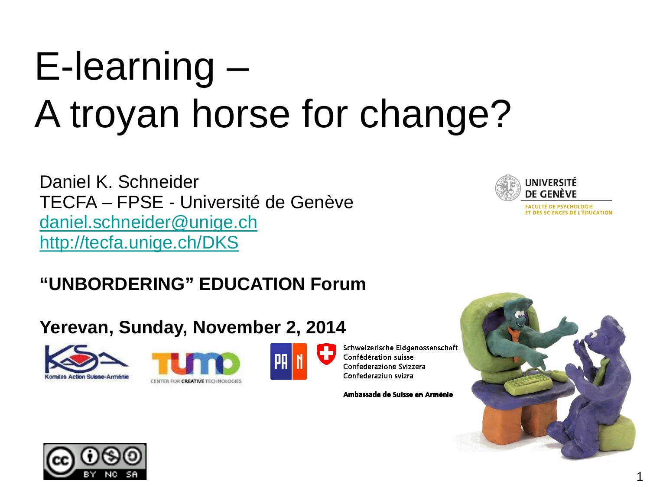# E-learning – A troyan horse for change?

Daniel K. Schneider TECFA – FPSE - Université de Genève [daniel.schneider@unige.ch](mailto:daniel.schneider@unige.ch) <http://tecfa.unige.ch/DKS>



ET DES SCIENCES DE L'ÉDUCATION

#### **"UNBORDERING" EDUCATION Forum**

#### **Yerevan, Sunday, November 2, 2014**







Schweizerische Eidgenossenschaft Confédération suisse Confederazione Svizzera Confederaziun svizra

Ambassade de Suisse en Arménie



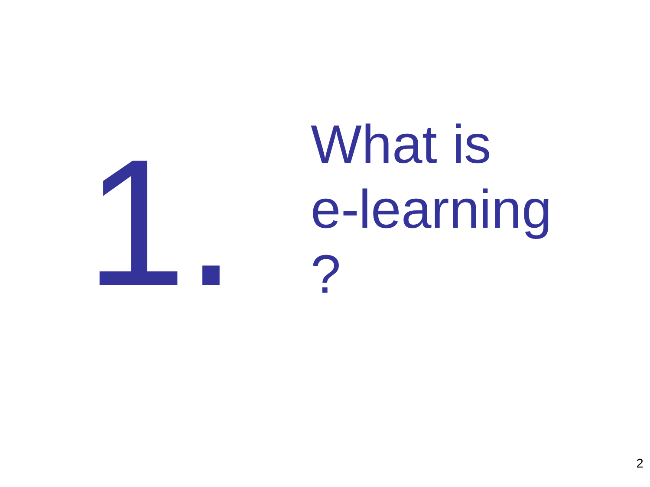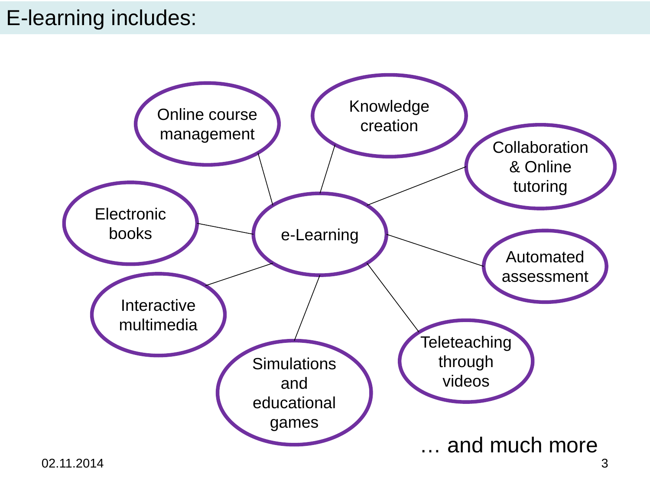#### E-learning includes:

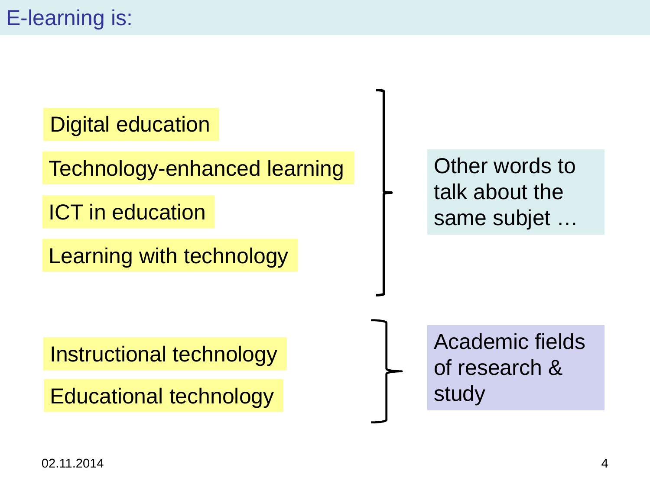#### Digital education

Technology-enhanced learning

ICT in education

Learning with technology

Other words to talk about the same subjet …

Instructional technology

Educational technology

Academic fields of research & study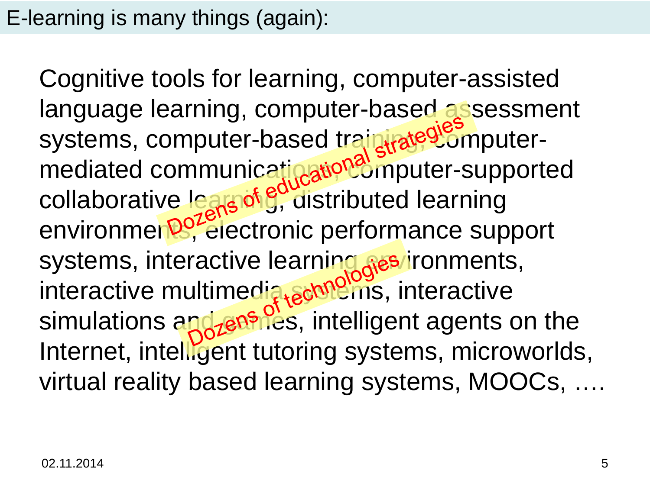#### E-learning is many things (again):

Cognitive tools for learning, computer-assisted language learning, computer-based assessment systems, computer-based train rate<sup>gromputer-</sup> mediated communicatination<sup>s</sup> imputer-supported collaborative lears of g, distributed learning environmen<sup>por</sup>electronic performance support systems, interactive learning res/ironments, interactive multimedia schildins, interactive simulations and *zenifies*, intelligent agents on the Internet, intelligent tutoring systems, microworlds, virtual reality based learning systems, MOOCs, ….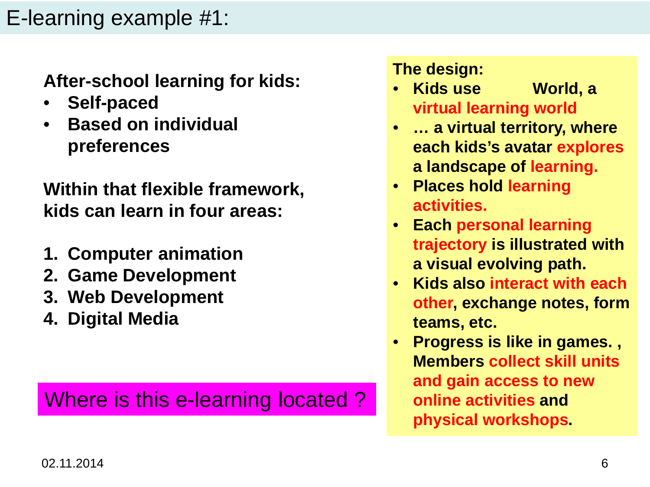#### E-learning example #1:

**After-school learning for kids:** 

- **Self-paced**
- **Based on individual preferences**

**Within that flexible framework, kids can learn in four areas:**

- **1. Computer animation**
- **2. Game Development**
- **3. Web Development**
- **4. Digital Media**

#### Where is this e-learning located?

**The design:**

- **Kids use World, a virtual learning world**
- **… a virtual territory, where each kids's avatar explores a landscape of learning.**
- **Places hold learning activities.**
- **Each personal learning trajectory is illustrated with a visual evolving path.**
- **Kids also interact with each other, exchange notes, form teams, etc.**
- **Progress is like in games. , Members collect skill units and gain access to new online activities and physical workshops.**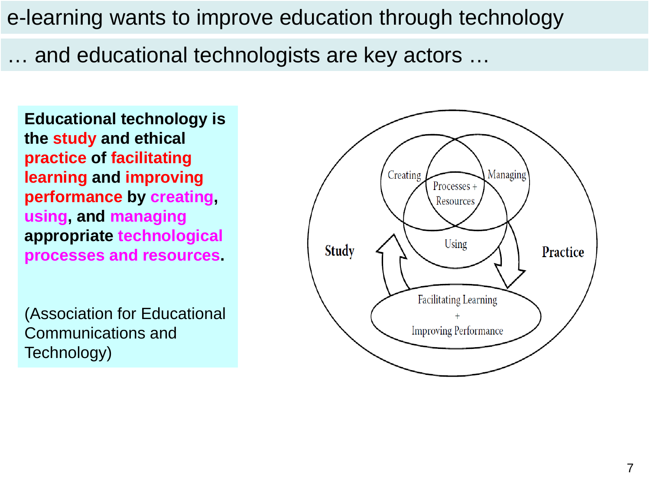e-learning wants to improve education through technology

… and educational technologists are key actors …

**Educational technology is the study and ethical practice of facilitating learning and improving performance by creating, using, and managing appropriate technological processes and resources.** 

(Association for Educational Communications and Technology)

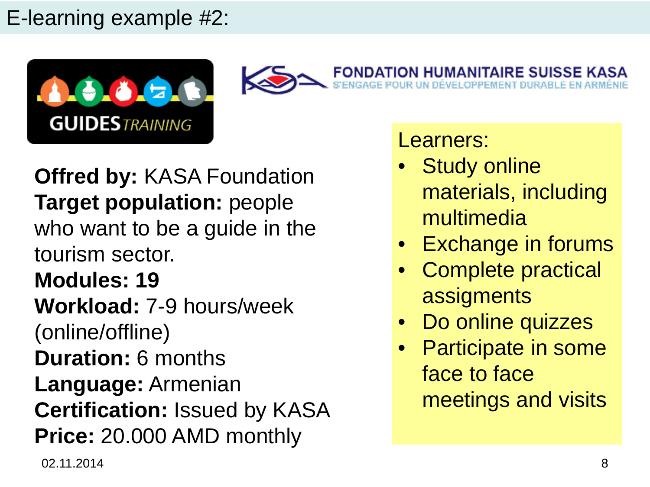#### E-learning example #2:





**Offred by:** KASA Foundation **Target population:** people who want to be a guide in the tourism sector. **Modules: 19 Workload:** 7-9 hours/week (online/offline) **Duration:** 6 months **Language:** Armenian **Certification:** Issued by KASA **Price:** 20.000 AMD monthly

Learners:

- **Study online** materials, including multimedia
- **Exchange in forums**
- Complete practical assigments
- Do online quizzes
- Participate in some face to face meetings and visits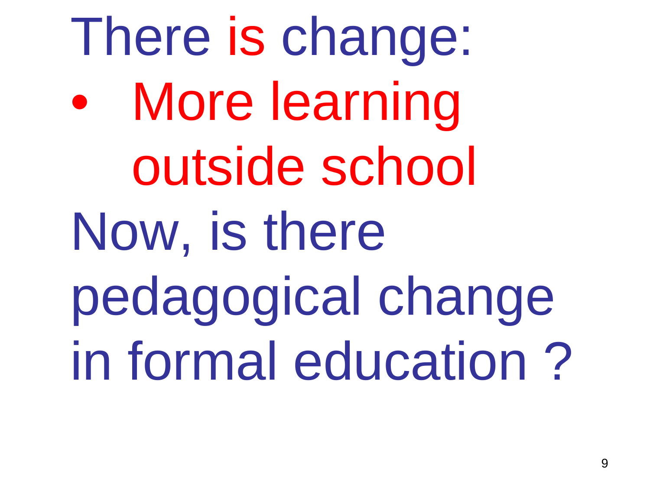There is change: More learning outside school Now, is there pedagogical change in formal education ?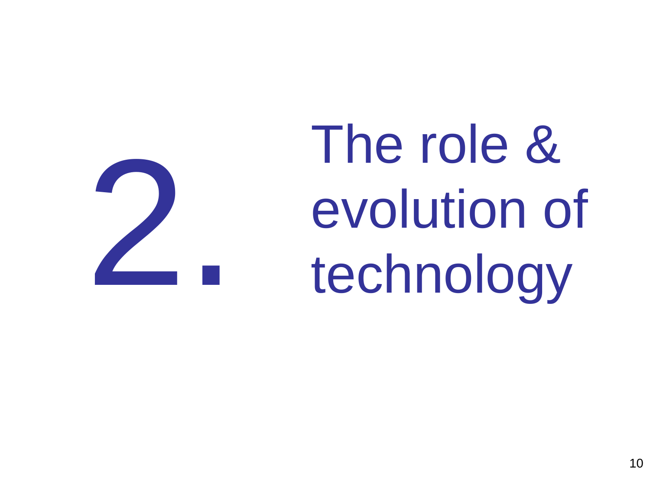The role & evolution of<br>technology

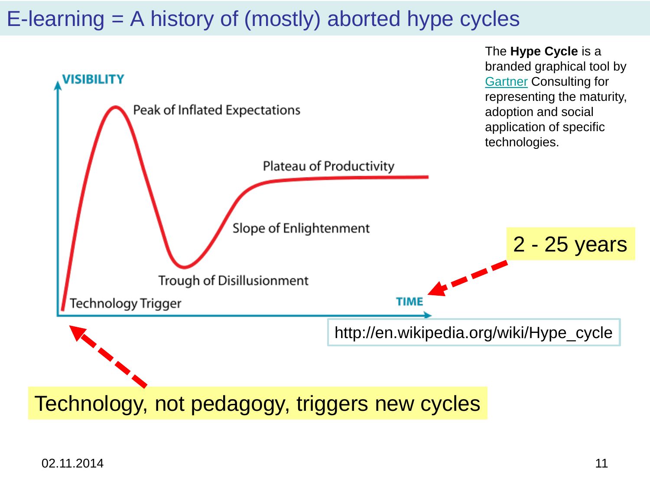#### E-learning = A history of (mostly) aborted hype cycles

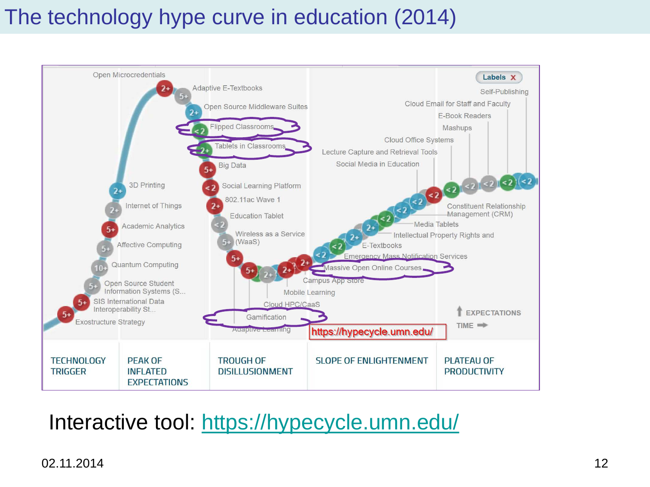#### The technology hype curve in education (2014)



#### Interactive tool:<https://hypecycle.umn.edu/>

#### 02.11.2014 12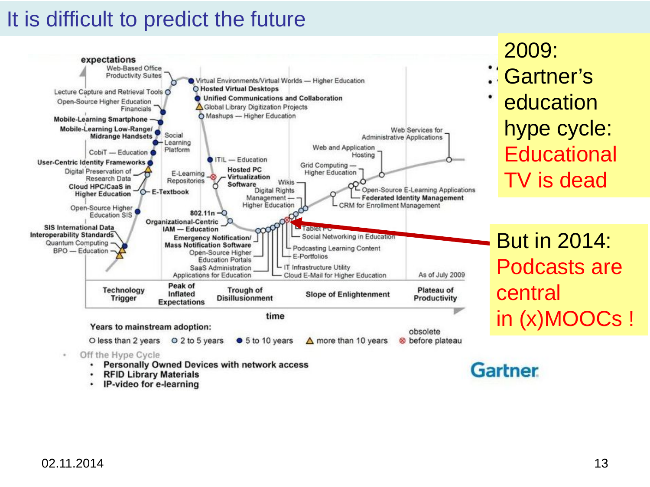#### It is difficult to predict the future



- ٠ **RFID Library Materials**
- IP-video for e-learning

2009:

Gartner's education hype cycle: **Educational** TV is dead

But in 2014: Podcasts are central in (x)MOOCs !

02.11.2014 13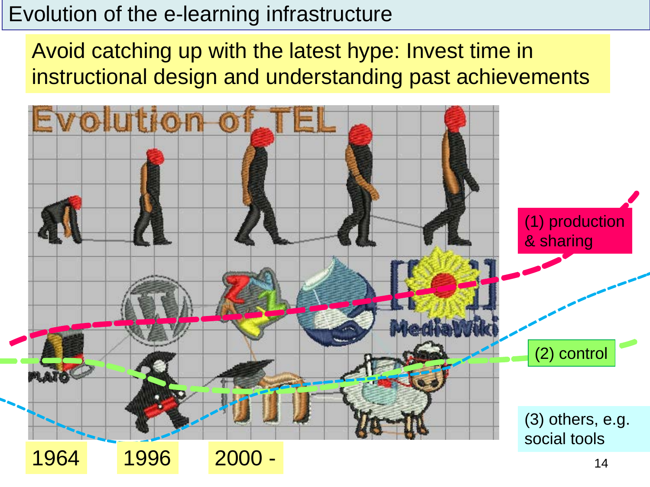#### Evolution of the e-learning infrastructure

Avoid catching up with the latest hype: Invest time in instructional design and understanding past achievements

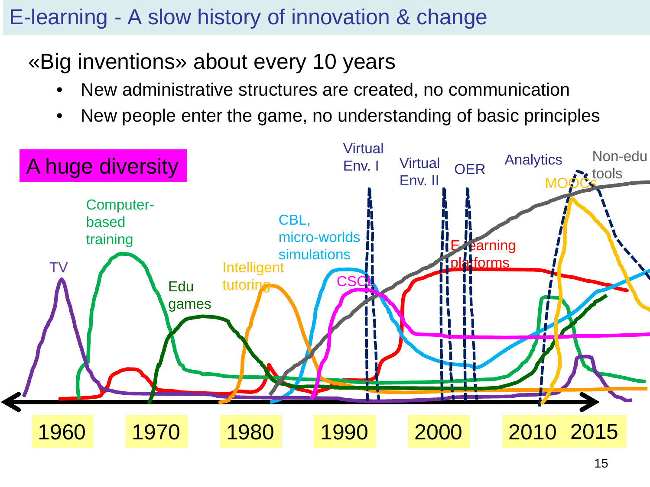#### E-learning - A slow history of innovation & change

#### «Big inventions» about every 10 years

- New administrative structures are created, no communication
- New people enter the game, no understanding of basic principles

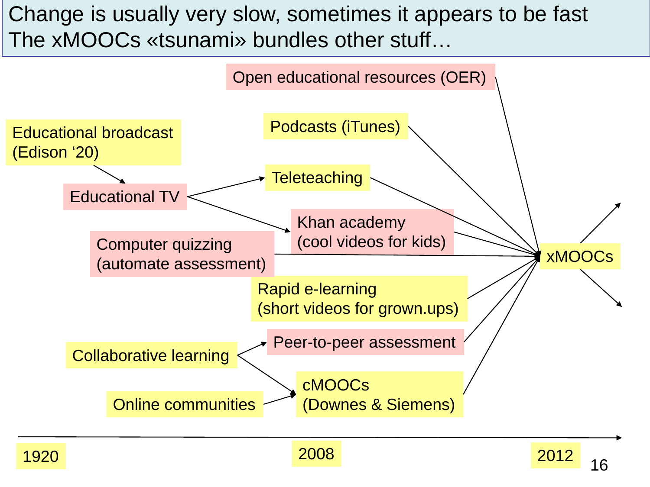#### Change is usually very slow, sometimes it appears to be fast The xMOOCs «tsunami» bundles other stuff…

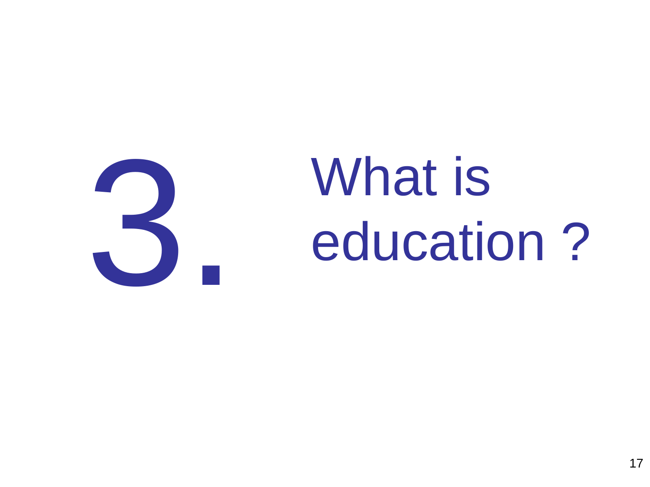

# **3.** What is<br>education education ?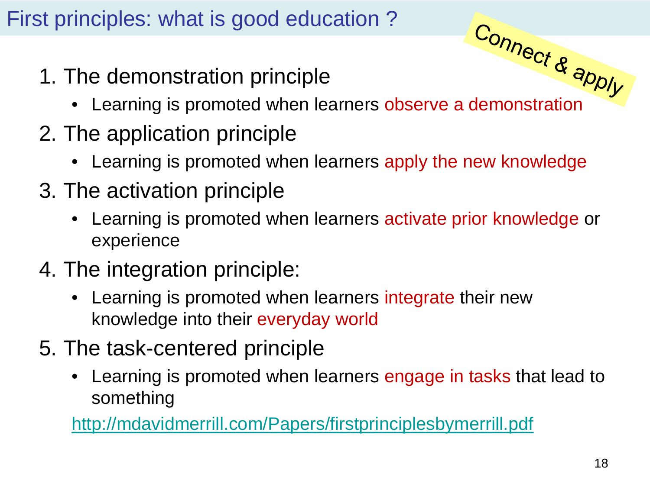#### First principles: what is good education ?

- 1. The demonstration principle
- The demonstration principle<br>• Learning is promoted when learners observe a demonstration
- 2. The application principle
	- Learning is promoted when learners apply the new knowledge
- 3. The activation principle
	- Learning is promoted when learners activate prior knowledge or experience
- 4. The integration principle:
	- Learning is promoted when learners integrate their new knowledge into their everyday world
- 5. The task-centered principle
	- Learning is promoted when learners engage in tasks that lead to something

<http://mdavidmerrill.com/Papers/firstprinciplesbymerrill.pdf>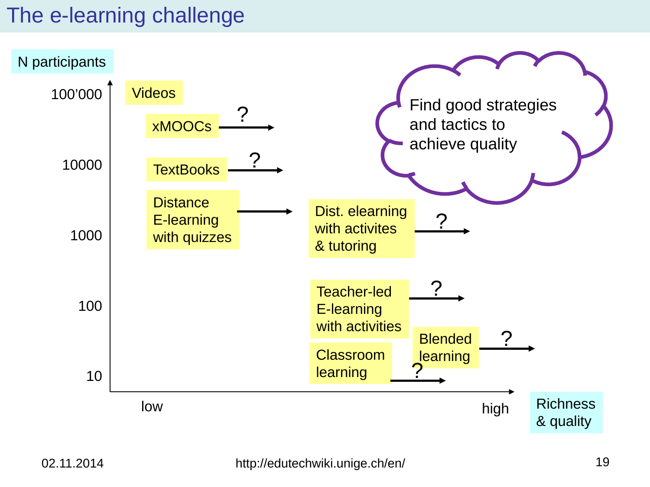#### The e-learning challenge

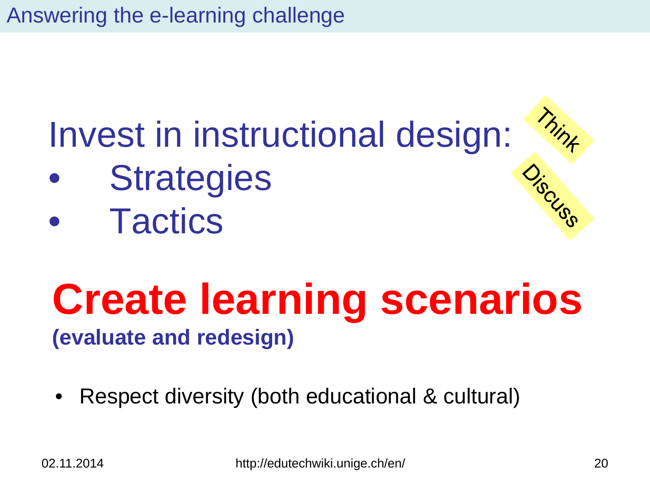Answering the e-learning challenge

# Invest in instructional design:

- **Strategies**
- **Tactics**

### **Create learning scenarios (evaluate and redesign)**

• Respect diversity (both educational & cultural)

Thint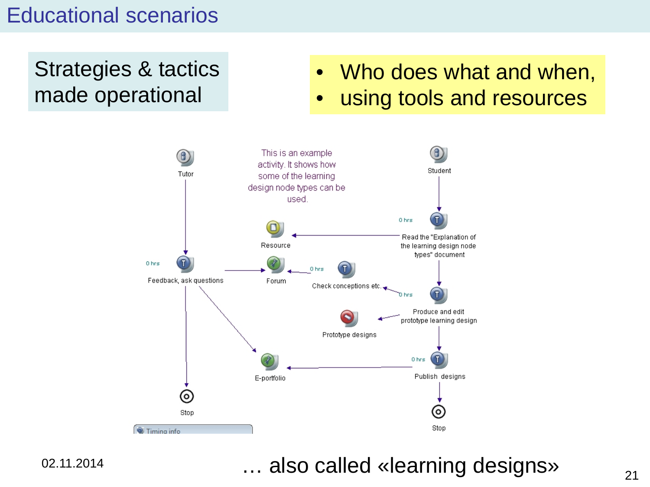#### Educational scenarios

Strategies & tactics made operational

- Who does what and when,
- using tools and resources



02.11.2014

#### … also called «learning designs»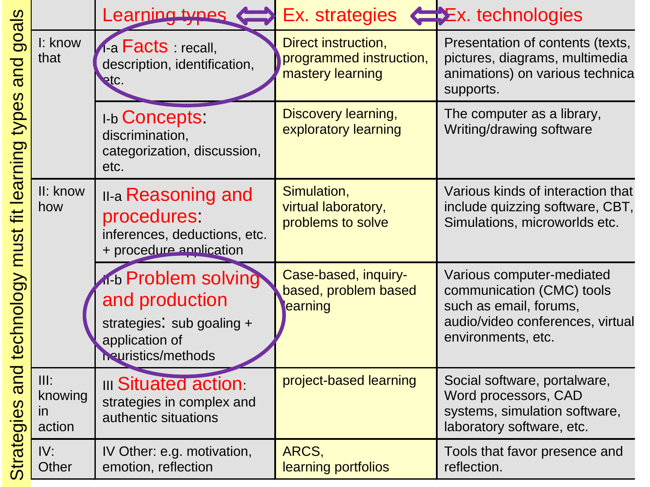|                                                                                                          |                                             | Learning types                                                                                                           | Ex. strategies $\leftarrow$ Ex. technologies                       |                                                                                                                                            |
|----------------------------------------------------------------------------------------------------------|---------------------------------------------|--------------------------------------------------------------------------------------------------------------------------|--------------------------------------------------------------------|--------------------------------------------------------------------------------------------------------------------------------------------|
| goals<br>and<br>types<br>fit learning<br>must<br>technology<br>bue<br>$\boldsymbol{\omega}$<br>Strategie | I: know<br>that                             | A-a Facts : recall,<br>description, identification,<br>RtC.                                                              | Direct instruction,<br>programmed instruction,<br>mastery learning | Presentation of contents (texts,<br>pictures, diagrams, multimedia<br>animations) on various technica<br>supports.                         |
|                                                                                                          |                                             | <b>I-b Concepts:</b><br>discrimination,<br>categorization, discussion,<br>etc.                                           | Discovery learning,<br>exploratory learning                        | The computer as a library,<br>Writing/drawing software                                                                                     |
|                                                                                                          | II: know<br>how                             | <b>II-a Reasoning and</b><br>procedures<br>inferences, deductions, etc.<br>+ procedure application                       | Simulation,<br>virtual laboratory,<br>problems to solve            | Various kinds of interaction that<br>include quizzing software, CBT,<br>Simulations, microworlds etc.                                      |
|                                                                                                          |                                             | <b>The Problem solving</b><br>and production<br>strategies: sub goaling +<br>application of<br><b>Neuristics/methods</b> | Case-based, inquiry-<br>based, problem based<br>earning            | Various computer-mediated<br>communication (CMC) tools<br>such as email, forums,<br>audio/video conferences, virtual<br>environments, etc. |
|                                                                                                          | III:<br>knowing<br>$\overline{m}$<br>action | <b>III Situated action:</b><br>strategies in complex and<br>authentic situations                                         | project-based learning                                             | Social software, portalware,<br>Word processors, CAD<br>systems, simulation software,<br>laboratory software, etc.                         |
|                                                                                                          | IV:<br>Other                                | IV Other: e.g. motivation,<br>emotion, reflection                                                                        | ARCS,<br>learning portfolios                                       | Tools that favor presence and<br>reflection.                                                                                               |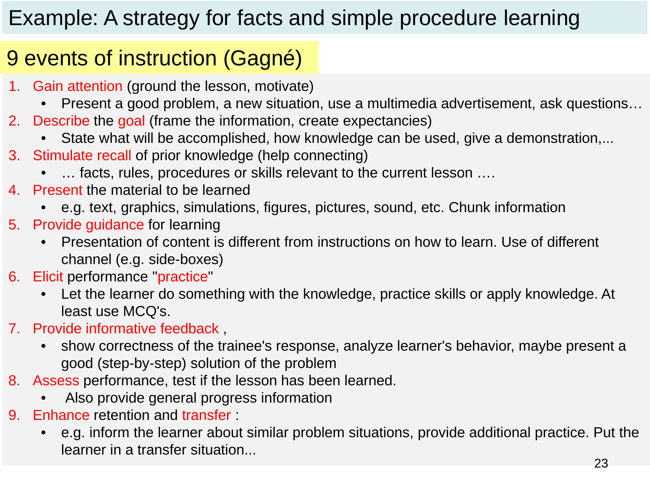#### Example: A strategy for facts and simple procedure learning

#### 9 events of instruction (Gagné)

- 1. Gain attention (ground the lesson, motivate)
	- Present a good problem, a new situation, use a multimedia advertisement, ask questions…
- 2. Describe the goal (frame the information, create expectancies)
	- State what will be accomplished, how knowledge can be used, give a demonstration,...
- 3. Stimulate recall of prior knowledge (help connecting)
	- ... facts, rules, procedures or skills relevant to the current lesson ....
- 4. Present the material to be learned
	- e.g. text, graphics, simulations, figures, pictures, sound, etc. Chunk information
- 5. Provide guidance for learning
	- Presentation of content is different from instructions on how to learn. Use of different channel (e.g. side-boxes)
- 6. Elicit performance "practice"
	- Let the learner do something with the knowledge, practice skills or apply knowledge. At least use MCQ's.
- 7. Provide informative feedback ,
	- show correctness of the trainee's response, analyze learner's behavior, maybe present a good (step-by-step) solution of the problem
- 8. Assess performance, test if the lesson has been learned.
	- Also provide general progress information
- 9. Enhance retention and transfer :
	- e.g. inform the learner about similar problem situations, provide additional practice. Put the learner in a transfer situation...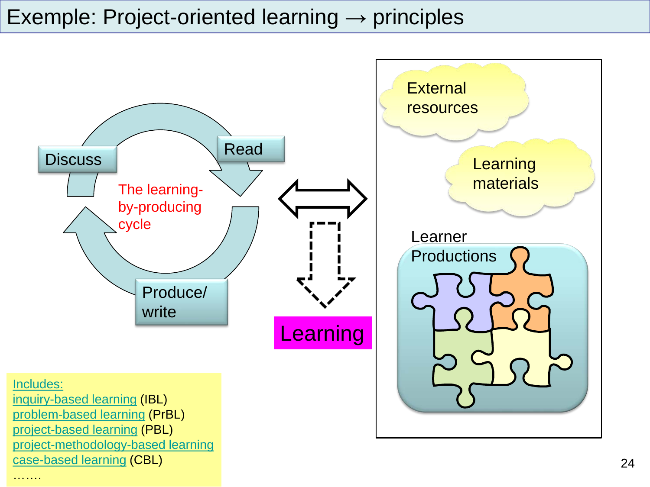#### Exemple: Project-oriented learning  $\rightarrow$  principles



#### [Includes:](http://edutechwiki.unige.ch/en/Inquiry-based_learning)

[inquiry-based learning](http://edutechwiki.unige.ch/en/Inquiry-based_learning) (IBL) [problem-based learning](http://edutechwiki.unige.ch/en/Problem-based_learning) (PrBL) [project-based learning](http://edutechwiki.unige.ch/en/Project-based_learning) (PBL) [project-methodology-based learning](http://edutechwiki.unige.ch/en/Project-methodology-based_learning) [case-based learning](http://edutechwiki.unige.ch/en/Case-based_learning) (CBL)

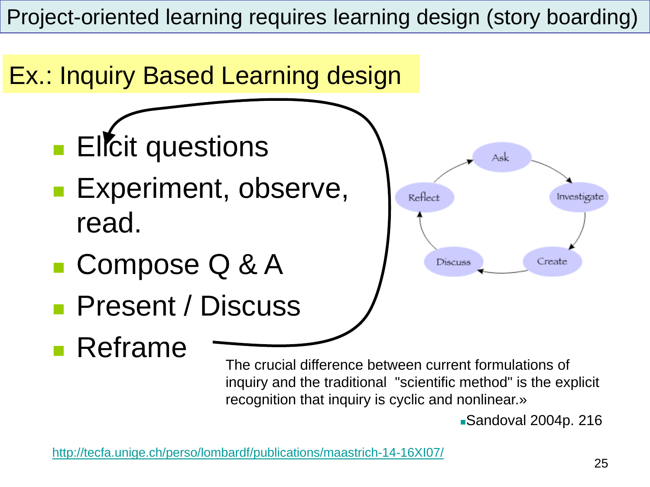Project-oriented learning requires learning design (story boarding)



Sandoval 2004p. 216

<http://tecfa.unige.ch/perso/lombardf/publications/maastrich-14-16XI07/>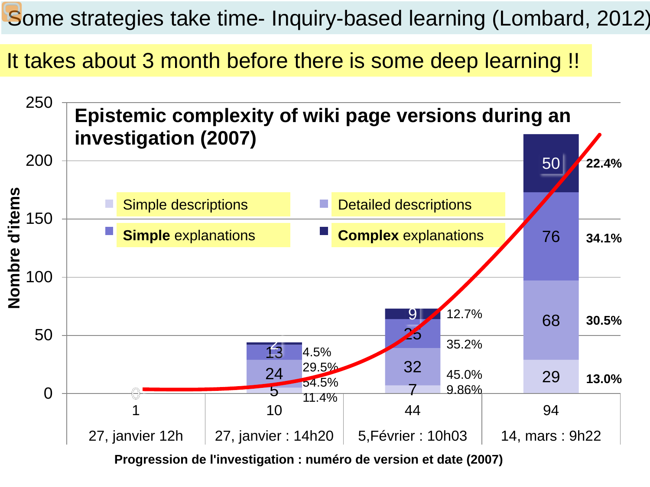Some strategies take time- Inquiry-based learning (Lombard, 2012)

It takes about 3 month before there is some deep learning !!



**Progression de l'investigation : numéro de version et date (2007)**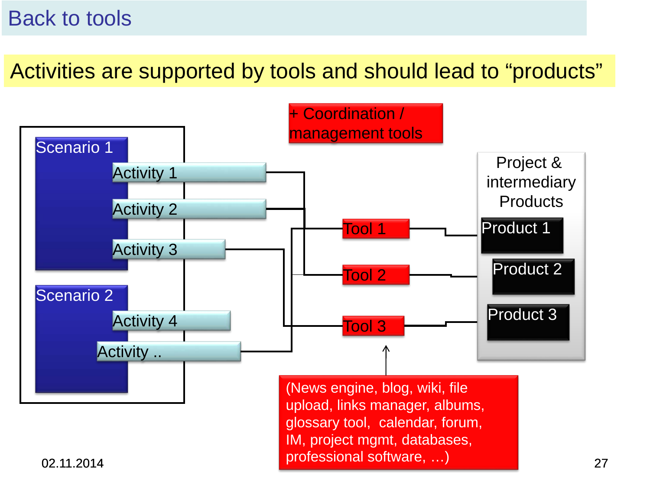#### Back to tools

Activities are supported by tools and should lead to "products"

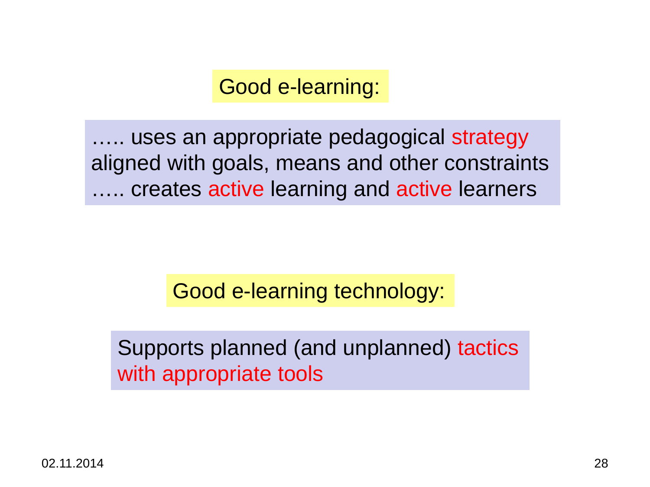Good e-learning:

….. uses an appropriate pedagogical strategy aligned with goals, means and other constraints ….. creates active learning and active learners

Good e-learning technology:

Supports planned (and unplanned) tactics with appropriate tools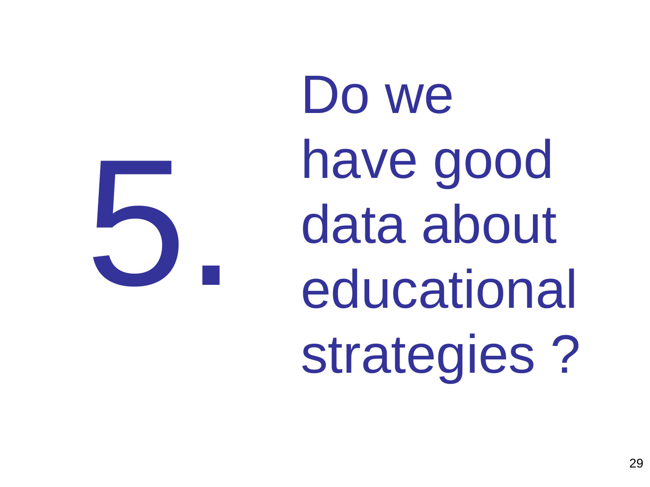5.

Do we have good data about educational strategies ?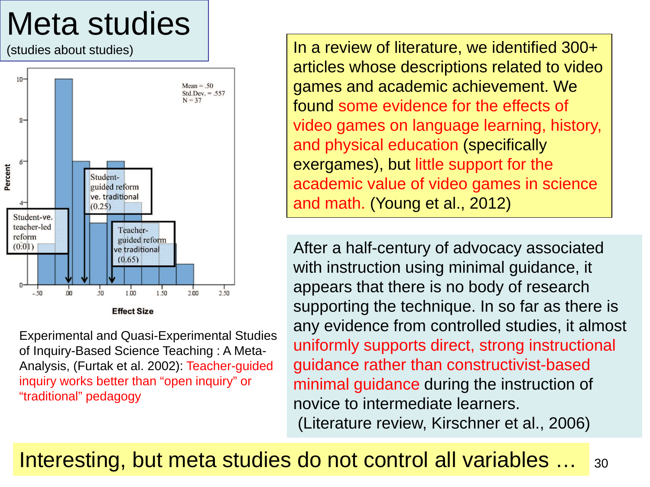## Meta studies

(studies about studies)



Experimental and Quasi-Experimental Studies of Inquiry-Based Science Teaching : A Meta-Analysis, (Furtak et al. 2002): Teacher-guided inquiry works better than "open inquiry" or "traditional" pedagogy

In a review of literature, we identified 300+ articles whose descriptions related to video games and academic achievement. We found some evidence for the effects of video games on language learning, history, and physical education (specifically exergames), but little support for the academic value of video games in science and math. (Young et al., 2012)

After a half-century of advocacy associated with instruction using minimal guidance, it appears that there is no body of research supporting the technique. In so far as there is any evidence from controlled studies, it almost uniformly supports direct, strong instructional guidance rather than constructivist-based minimal guidance during the instruction of novice to intermediate learners. (Literature review, Kirschner et al., 2006)

#### Interesting, but meta studies do not control all variables … 30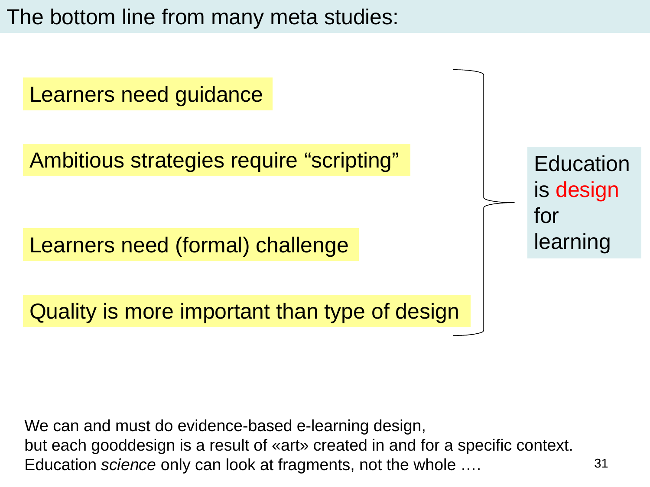The bottom line from many meta studies:

Learners need guidance

Ambitious strategies require "scripting"

Learners need (formal) challenge

Quality is more important than type of design

**Education** is design for learning

Education *science* only can look at fragments, not the whole .... **1998** 131 We can and must do evidence-based e-learning design, but each gooddesign is a result of «art» created in and for a specific context.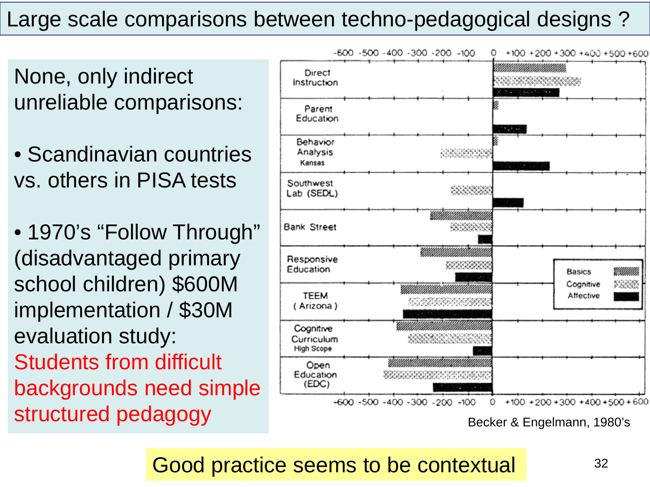#### Large scale comparisons between techno-pedagogical designs ?

None, only indirect unreliable comparisons:

• Scandinavian countries vs. others in PISA tests

• 1970's "Follow Through" (disadvantaged primary school children) \$600M implementation / \$30M evaluation study: Students from difficult backgrounds need simple Structured pedagogy<br>Structured pedagogy<br>Becker & Engelmann, 1980's



Good practice seems to be contextual  $32$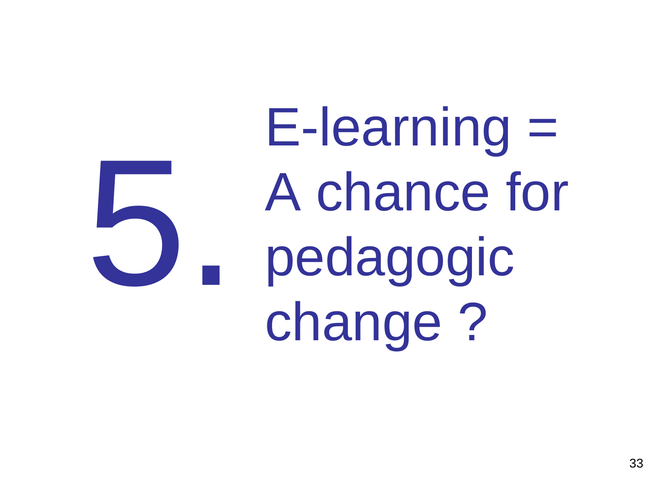E-learning = A chance for pedagogic change ? 5.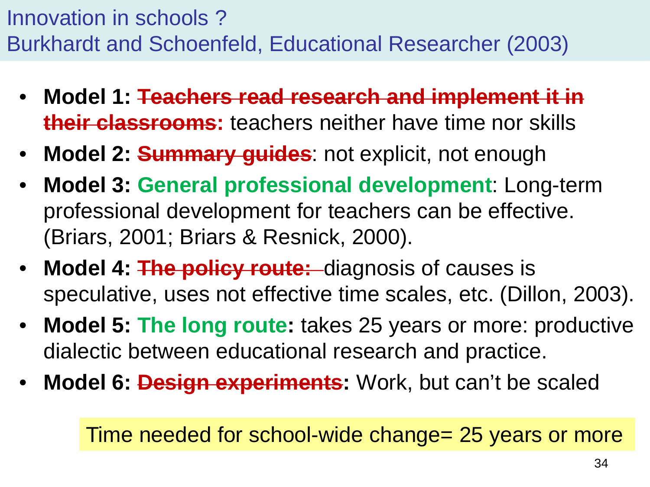Innovation in schools ? Burkhardt and Schoenfeld, Educational Researcher (2003)

- **Model 1: Teachers read research and implement it in their classrooms:** teachers neither have time nor skills
- **Model 2: Summary guides**: not explicit, not enough
- **Model 3: General professional development**: Long-term professional development for teachers can be effective. (Briars, 2001; Briars & Resnick, 2000).
- **Model 4: The policy route:** diagnosis of causes is speculative, uses not effective time scales, etc. (Dillon, 2003).
- **Model 5: The long route:** takes 25 years or more: productive dialectic between educational research and practice.
- **Model 6: Design experiments:** Work, but can't be scaled

Time needed for school-wide change= 25 years or more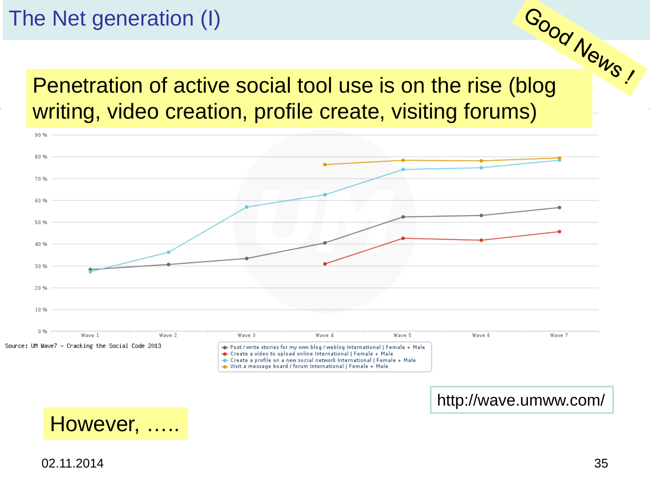#### The Net generation (I)

e Net generation (i)<br>Penetration of active social tool use is on the rise (blog writing, video creation, profile create, visiting forums)



http://wave.umww.com/



02.11.2014 35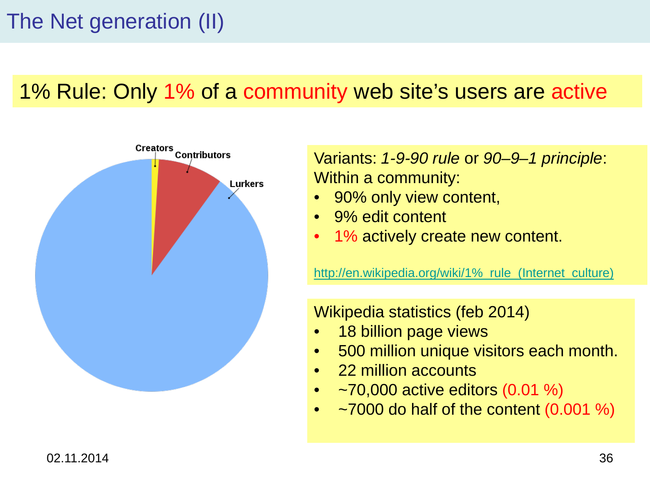#### 1% Rule: Only 1% of a community web site's users are active



Variants: *1-9-90 rule* or *90–9–1 principle*: Within a community:

- 90% only view content,
- 9% edit content
- 1% actively create new content.

http://en.wikipedia.org/wiki/1% rule (Internet culture)

Wikipedia statistics (feb 2014)

- 18 billion page views
- 500 million unique visitors each month.
- 22 million accounts
- $\sim$   $-70,000$  active editors (0.01 %)
- $\sim$ 7000 do half of the content (0.001 %)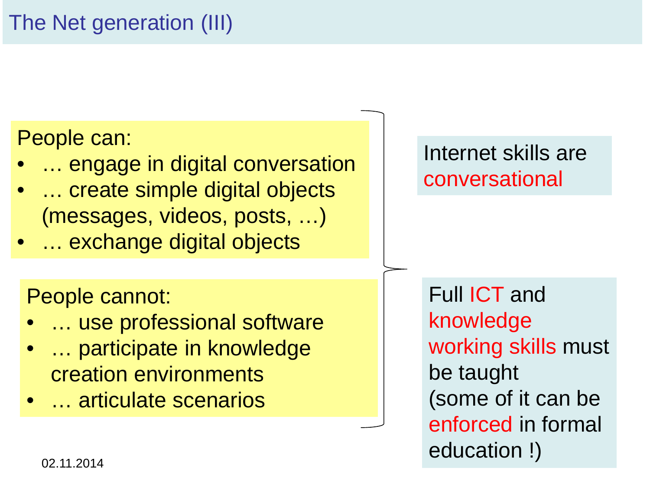#### People can:

- ... engage in digital conversation
- ... create simple digital objects (messages, videos, posts, …)
- … exchange digital objects

People cannot:

- ... use professional software
- ... participate in knowledge creation environments
- … articulate scenarios

#### Internet skills are conversational

02.11.2014 **37.11.2014** Full ICT and knowledge working skills must be taught (some of it can be enforced in formal education !)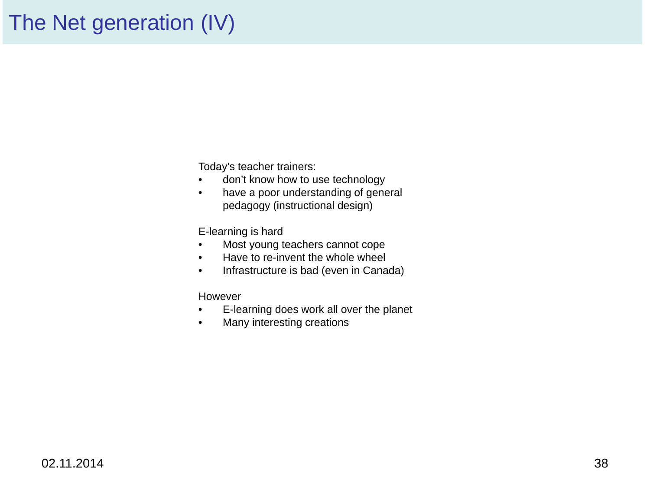#### The Net generation (IV)

Today's teacher trainers:

- don't know how to use technology
- have a poor understanding of general pedagogy (instructional design)

E-learning is hard

- Most young teachers cannot cope
- Have to re-invent the whole wheel
- Infrastructure is bad (even in Canada)

#### However

- E-learning does work all over the planet
- Many interesting creations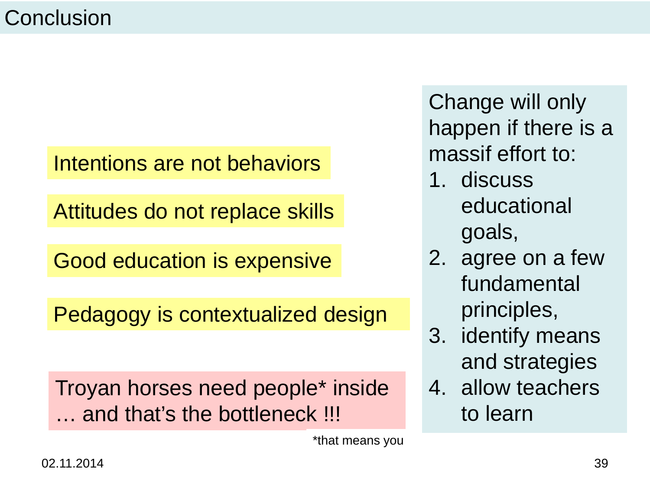#### **Conclusion**

#### Intentions are not behaviors

Attitudes do not replace skills

Good education is expensive

Pedagogy is contextualized design

Troyan horses need people\* inside … and that's the bottleneck !!!

\*that means you

Change will only happen if there is a massif effort to:

- 1. discuss educational goals,
- 2. agree on a few fundamental principles,
- 3. identify means and strategies
- 4. allow teachers to learn